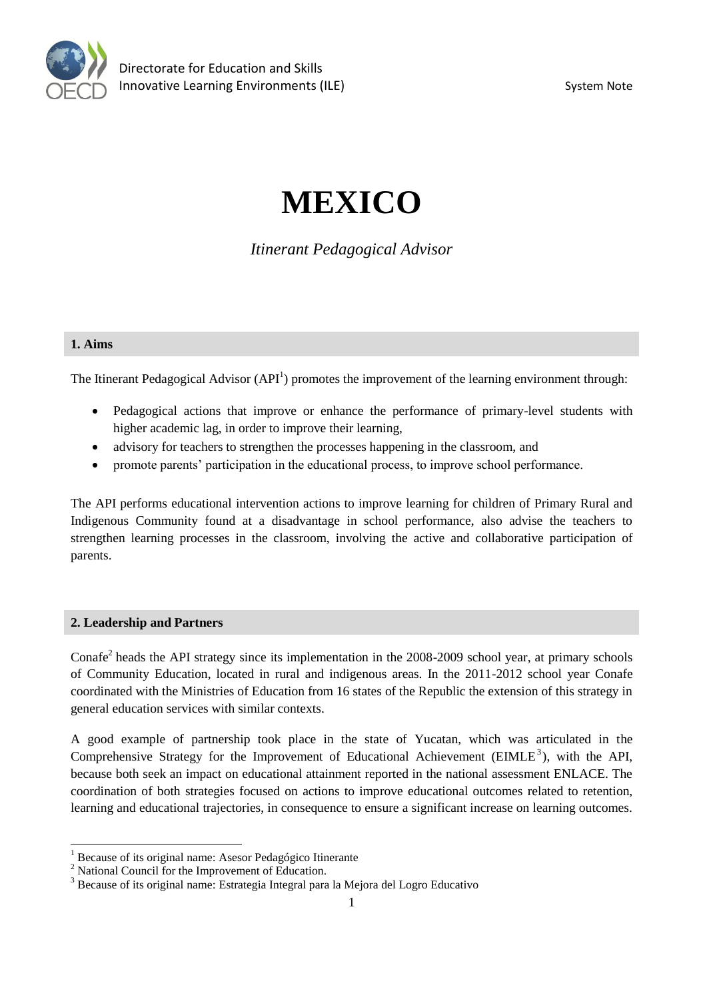

# **MEXICO**

*Itinerant Pedagogical Advisor* 

## **1. Aims**

The Itinerant Pedagogical Advisor  $(API<sup>1</sup>)$  promotes the improvement of the learning environment through:

- Pedagogical actions that improve or enhance the performance of primary-level students with higher academic lag, in order to improve their learning,
- advisory for teachers to strengthen the processes happening in the classroom, and
- promote parents' participation in the educational process, to improve school performance.

The API performs educational intervention actions to improve learning for children of Primary Rural and Indigenous Community found at a disadvantage in school performance, also advise the teachers to strengthen learning processes in the classroom, involving the active and collaborative participation of parents.

# **2. Leadership and Partners**

 $\overline{a}$ 

Conafe<sup>2</sup> heads the API strategy since its implementation in the 2008-2009 school year, at primary schools of Community Education, located in rural and indigenous areas. In the 2011-2012 school year Conafe coordinated with the Ministries of Education from 16 states of the Republic the extension of this strategy in general education services with similar contexts.

A good example of partnership took place in the state of Yucatan, which was articulated in the Comprehensive Strategy for the Improvement of Educational Achievement ( $EIME<sup>3</sup>$ ), with the API, because both seek an impact on educational attainment reported in the national assessment ENLACE. The coordination of both strategies focused on actions to improve educational outcomes related to retention, learning and educational trajectories, in consequence to ensure a significant increase on learning outcomes.

<sup>&</sup>lt;sup>1</sup> Because of its original name: Asesor Pedagógico Itinerante

<sup>&</sup>lt;sup>2</sup> National Council for the Improvement of Education.

<sup>3</sup> Because of its original name: Estrategia Integral para la Mejora del Logro Educativo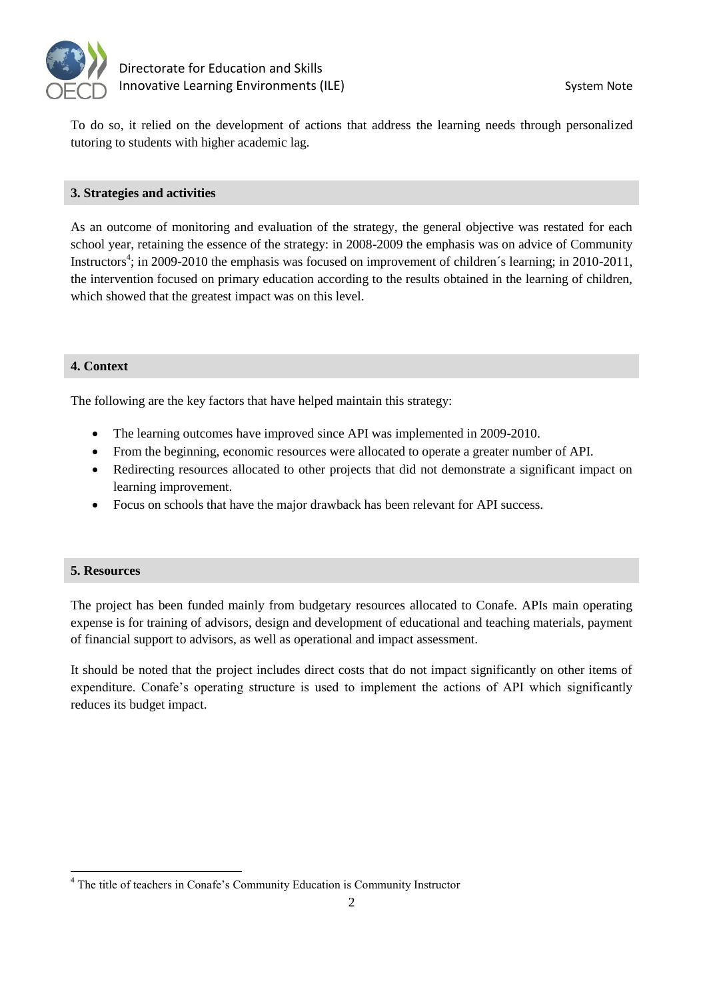

# Directorate for Education and Skills Innovative Learning Environments (ILE) System Note

To do so, it relied on the development of actions that address the learning needs through personalized tutoring to students with higher academic lag.

## **3. Strategies and activities**

As an outcome of monitoring and evaluation of the strategy, the general objective was restated for each school year, retaining the essence of the strategy: in 2008-2009 the emphasis was on advice of Community Instructors<sup>4</sup>; in 2009-2010 the emphasis was focused on improvement of children's learning; in 2010-2011, the intervention focused on primary education according to the results obtained in the learning of children, which showed that the greatest impact was on this level.

# **4. Context**

The following are the key factors that have helped maintain this strategy:

- The learning outcomes have improved since API was implemented in 2009-2010.
- From the beginning, economic resources were allocated to operate a greater number of API.
- Redirecting resources allocated to other projects that did not demonstrate a significant impact on learning improvement.
- Focus on schools that have the major drawback has been relevant for API success.

#### **5. Resources**

The project has been funded mainly from budgetary resources allocated to Conafe. APIs main operating expense is for training of advisors, design and development of educational and teaching materials, payment of financial support to advisors, as well as operational and impact assessment.

It should be noted that the project includes direct costs that do not impact significantly on other items of expenditure. Conafe's operating structure is used to implement the actions of API which significantly reduces its budget impact.

<sup>&</sup>lt;sup>4</sup> The title of teachers in Conafe's Community Education is Community Instructor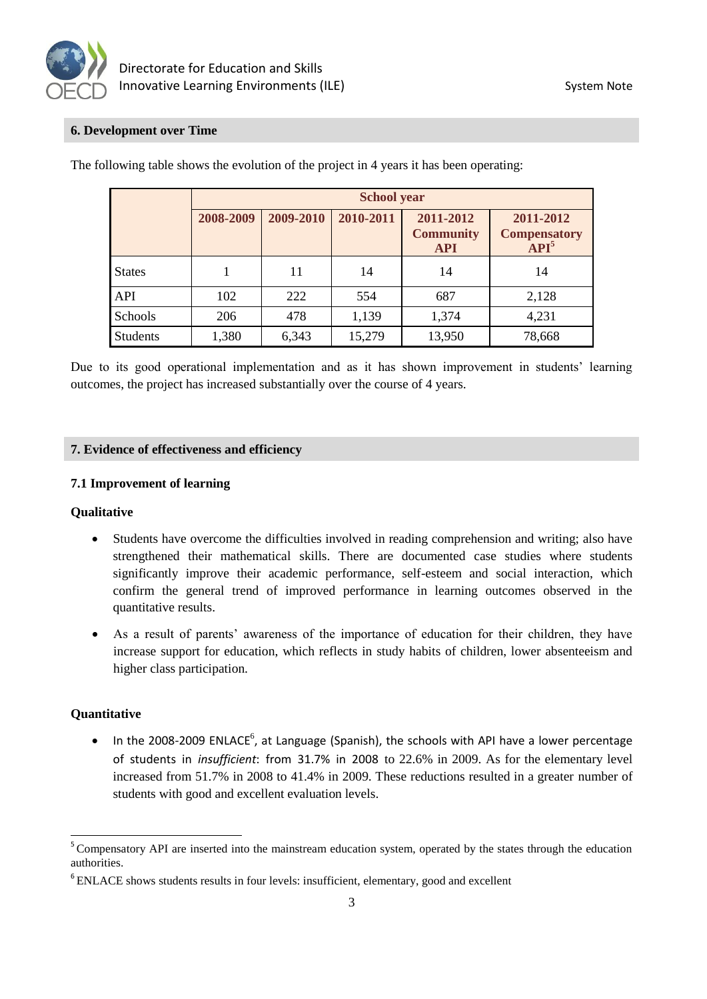

# **6. Development over Time**

|                 | <b>School year</b> |           |           |                                             |                                                      |
|-----------------|--------------------|-----------|-----------|---------------------------------------------|------------------------------------------------------|
|                 | 2008-2009          | 2009-2010 | 2010-2011 | 2011-2012<br><b>Community</b><br><b>API</b> | 2011-2012<br><b>Compensatory</b><br>API <sup>5</sup> |
| <b>States</b>   |                    | 11        | 14        | 14                                          | 14                                                   |
| API             | 102                | 222       | 554       | 687                                         | 2,128                                                |
| Schools         | 206                | 478       | 1,139     | 1,374                                       | 4,231                                                |
| <b>Students</b> | 1,380              | 6,343     | 15,279    | 13,950                                      | 78,668                                               |

The following table shows the evolution of the project in 4 years it has been operating:

Due to its good operational implementation and as it has shown improvement in students' learning outcomes, the project has increased substantially over the course of 4 years.

#### **7. Evidence of effectiveness and efficiency**

#### **7.1 Improvement of learning**

#### **Qualitative**

- Students have overcome the difficulties involved in reading comprehension and writing; also have strengthened their mathematical skills. There are documented case studies where students significantly improve their academic performance, self-esteem and social interaction, which confirm the general trend of improved performance in learning outcomes observed in the quantitative results.
- As a result of parents' awareness of the importance of education for their children, they have increase support for education, which reflects in study habits of children, lower absenteeism and higher class participation.

#### **Quantitative**

 $\overline{a}$ 

 $\bullet$  In the 2008-2009 ENLACE<sup>6</sup>, at Language (Spanish), the schools with API have a lower percentage of students in *insufficient*: from 31.7% in 2008 to 22.6% in 2009. As for the elementary level increased from 51.7% in 2008 to 41.4% in 2009. These reductions resulted in a greater number of students with good and excellent evaluation levels.

<sup>&</sup>lt;sup>5</sup> Compensatory API are inserted into the mainstream education system, operated by the states through the education authorities.

<sup>&</sup>lt;sup>6</sup> ENLACE shows students results in four levels: insufficient, elementary, good and excellent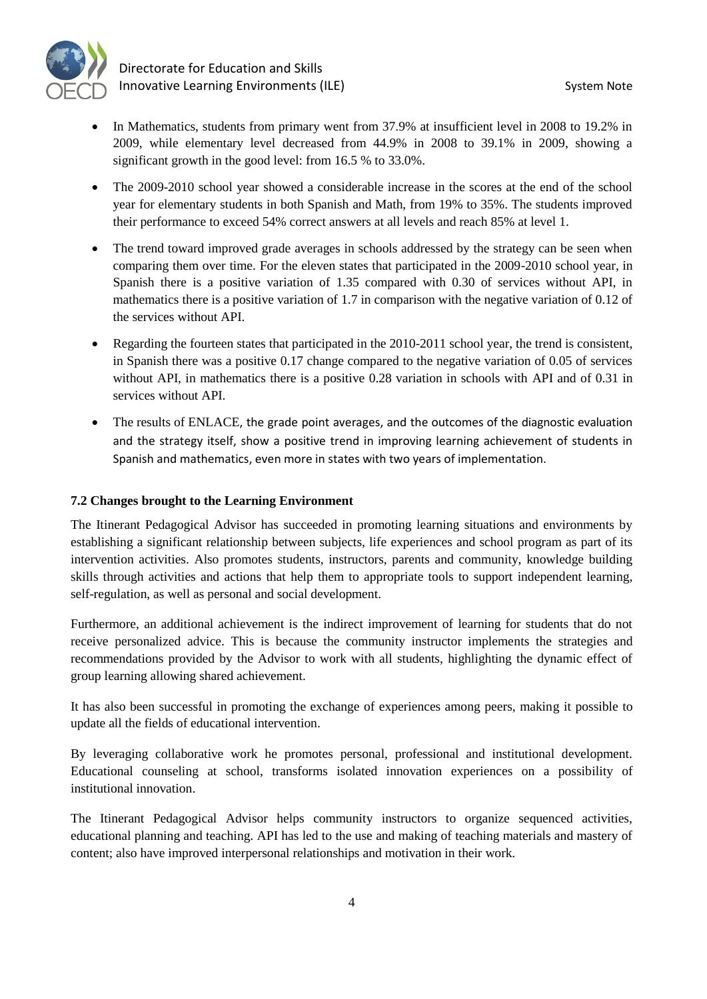

- In Mathematics, students from primary went from 37.9% at insufficient level in 2008 to 19.2% in 2009, while elementary level decreased from 44.9% in 2008 to 39.1% in 2009, showing a significant growth in the good level: from 16.5 % to 33.0%.
- The 2009-2010 school year showed a considerable increase in the scores at the end of the school year for elementary students in both Spanish and Math, from 19% to 35%. The students improved their performance to exceed 54% correct answers at all levels and reach 85% at level 1.
- The trend toward improved grade averages in schools addressed by the strategy can be seen when comparing them over time. For the eleven states that participated in the 2009-2010 school year, in Spanish there is a positive variation of 1.35 compared with 0.30 of services without API, in mathematics there is a positive variation of 1.7 in comparison with the negative variation of 0.12 of the services without API.
- Regarding the fourteen states that participated in the 2010-2011 school year, the trend is consistent, in Spanish there was a positive 0.17 change compared to the negative variation of 0.05 of services without API, in mathematics there is a positive 0.28 variation in schools with API and of 0.31 in services without API.
- The results of ENLACE, the grade point averages, and the outcomes of the diagnostic evaluation and the strategy itself, show a positive trend in improving learning achievement of students in Spanish and mathematics, even more in states with two years of implementation.

# **7.2 Changes brought to the Learning Environment**

The Itinerant Pedagogical Advisor has succeeded in promoting learning situations and environments by establishing a significant relationship between subjects, life experiences and school program as part of its intervention activities. Also promotes students, instructors, parents and community, knowledge building skills through activities and actions that help them to appropriate tools to support independent learning, self-regulation, as well as personal and social development.

Furthermore, an additional achievement is the indirect improvement of learning for students that do not receive personalized advice. This is because the community instructor implements the strategies and recommendations provided by the Advisor to work with all students, highlighting the dynamic effect of group learning allowing shared achievement.

It has also been successful in promoting the exchange of experiences among peers, making it possible to update all the fields of educational intervention.

By leveraging collaborative work he promotes personal, professional and institutional development. Educational counseling at school, transforms isolated innovation experiences on a possibility of institutional innovation.

The Itinerant Pedagogical Advisor helps community instructors to organize sequenced activities, educational planning and teaching. API has led to the use and making of teaching materials and mastery of content; also have improved interpersonal relationships and motivation in their work.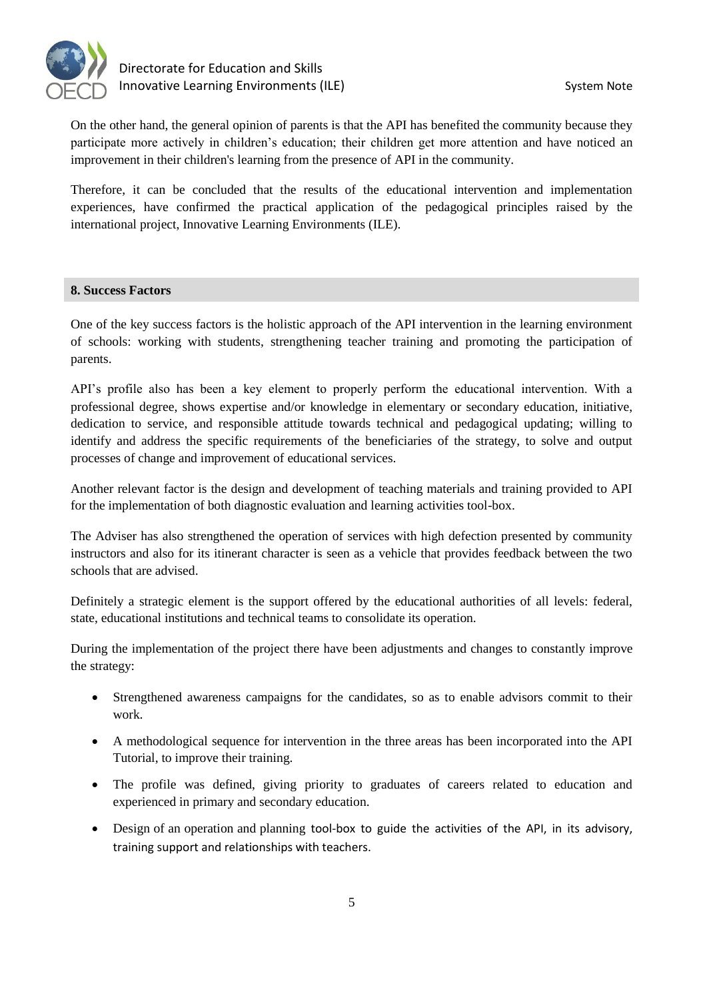

On the other hand, the general opinion of parents is that the API has benefited the community because they participate more actively in children's education; their children get more attention and have noticed an improvement in their children's learning from the presence of API in the community.

Therefore, it can be concluded that the results of the educational intervention and implementation experiences, have confirmed the practical application of the pedagogical principles raised by the international project, Innovative Learning Environments (ILE).

#### **8. Success Factors**

One of the key success factors is the holistic approach of the API intervention in the learning environment of schools: working with students, strengthening teacher training and promoting the participation of parents.

API's profile also has been a key element to properly perform the educational intervention. With a professional degree, shows expertise and/or knowledge in elementary or secondary education, initiative, dedication to service, and responsible attitude towards technical and pedagogical updating; willing to identify and address the specific requirements of the beneficiaries of the strategy, to solve and output processes of change and improvement of educational services.

Another relevant factor is the design and development of teaching materials and training provided to API for the implementation of both diagnostic evaluation and learning activities tool-box.

The Adviser has also strengthened the operation of services with high defection presented by community instructors and also for its itinerant character is seen as a vehicle that provides feedback between the two schools that are advised.

Definitely a strategic element is the support offered by the educational authorities of all levels: federal, state, educational institutions and technical teams to consolidate its operation.

During the implementation of the project there have been adjustments and changes to constantly improve the strategy:

- Strengthened awareness campaigns for the candidates, so as to enable advisors commit to their work.
- A methodological sequence for intervention in the three areas has been incorporated into the API Tutorial, to improve their training.
- The profile was defined, giving priority to graduates of careers related to education and experienced in primary and secondary education.
- Design of an operation and planning tool-box to guide the activities of the API, in its advisory, training support and relationships with teachers.